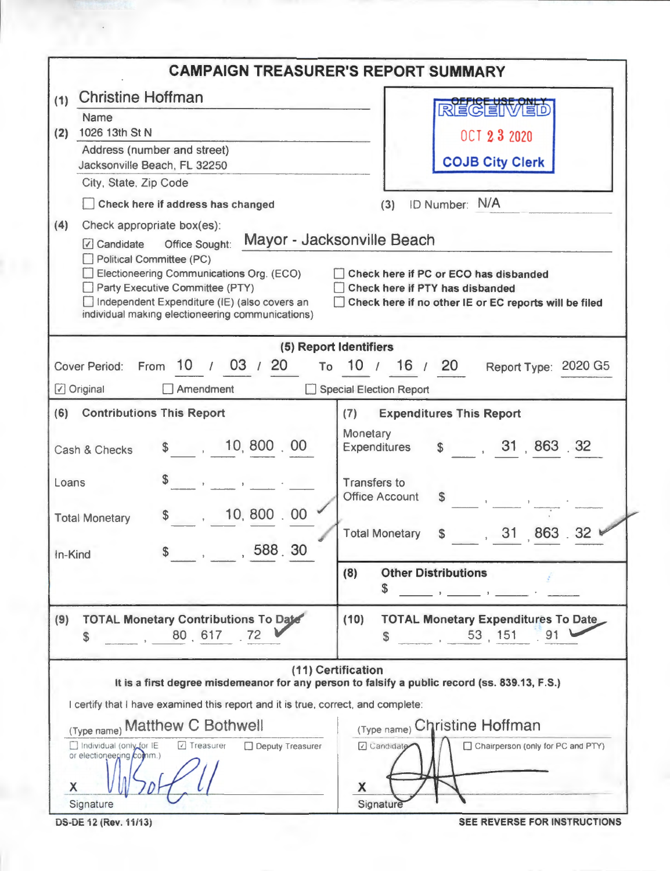|                                                                                                                                                                                                                                              | <b>CAMPAIGN TREASURER'S REPORT SUMMARY</b>                                                                                                                      |
|----------------------------------------------------------------------------------------------------------------------------------------------------------------------------------------------------------------------------------------------|-----------------------------------------------------------------------------------------------------------------------------------------------------------------|
| <b>Christine Hoffman</b><br>(1)                                                                                                                                                                                                              |                                                                                                                                                                 |
| Name                                                                                                                                                                                                                                         | REGEIMED                                                                                                                                                        |
| 1026 13th St N<br>(2)                                                                                                                                                                                                                        | <b>OCT 23 2020</b>                                                                                                                                              |
| Address (number and street)<br>Jacksonville Beach, FL 32250                                                                                                                                                                                  | <b>COJB City Clerk</b>                                                                                                                                          |
| City, State, Zip Code                                                                                                                                                                                                                        |                                                                                                                                                                 |
| Check here if address has changed                                                                                                                                                                                                            | ID Number: N/A<br>(3)                                                                                                                                           |
| (4)<br>Check appropriate box(es):                                                                                                                                                                                                            |                                                                                                                                                                 |
| Office Sought:<br>√ Candidate<br>Political Committee (PC)<br>Electioneering Communications Org. (ECO)<br>Party Executive Committee (PTY)<br>Independent Expenditure (IE) (also covers an<br>individual making electioneering communications) | Mayor - Jacksonville Beach<br>Check here if PC or ECO has disbanded<br>Check here if PTY has disbanded<br>Check here if no other IE or EC reports will be filed |
|                                                                                                                                                                                                                                              | (5) Report Identifiers                                                                                                                                          |
| From 10 / 03 / 20<br><b>Cover Period:</b>                                                                                                                                                                                                    | To 10 / 16 / 20<br>Report Type: 2020 G5                                                                                                                         |
| √ Original<br>$\Box$ Amendment                                                                                                                                                                                                               | Special Election Report                                                                                                                                         |
| <b>Contributions This Report</b><br>(6)                                                                                                                                                                                                      | <b>Expenditures This Report</b><br>(7)                                                                                                                          |
| \$, 10,800,00<br>Cash & Checks                                                                                                                                                                                                               | Monetary<br>\$31,863.32<br>Expenditures                                                                                                                         |
| the company of the company<br>Loans                                                                                                                                                                                                          | <b>Transfers to</b><br><b>Office Account</b><br>\$                                                                                                              |
| 10, 800.00<br><b>Total Monetary</b>                                                                                                                                                                                                          |                                                                                                                                                                 |
| , 588, 30<br>In-Kind                                                                                                                                                                                                                         | $, 31 \ 863 \ .32$<br><b>Total Monetary</b><br>\$                                                                                                               |
|                                                                                                                                                                                                                                              | <b>Other Distributions</b><br>(8)<br>\$<br>$\mathbf{y} = \mathbf{y}$ and $\mathbf{y} = \mathbf{y}$ and $\mathbf{y} = \mathbf{y}$                                |
| <b>TOTAL Monetary Contributions To Date</b><br>(9)<br>80 617<br>72<br>\$                                                                                                                                                                     | <b>TOTAL Monetary Expenditures To Date</b><br>(10)<br>53, 151<br>91<br>S                                                                                        |
|                                                                                                                                                                                                                                              | (11) Certification<br>It is a first degree misdemeanor for any person to falsify a public record (ss. 839.13, F.S.)                                             |
| I certify that I have examined this report and it is true, correct, and complete:                                                                                                                                                            |                                                                                                                                                                 |
| (Type name) Matthew C Bothwell                                                                                                                                                                                                               | (Type name) Christine Hoffman                                                                                                                                   |
| □ Individual (only for IE<br>Deputy Treasurer<br>$\sqrt{ }$ Treasurer<br>or electioneering comm.)<br>X                                                                                                                                       | Chairperson (only for PC and PTY)<br>7 Candidate<br>X                                                                                                           |
| Signature                                                                                                                                                                                                                                    | Signature                                                                                                                                                       |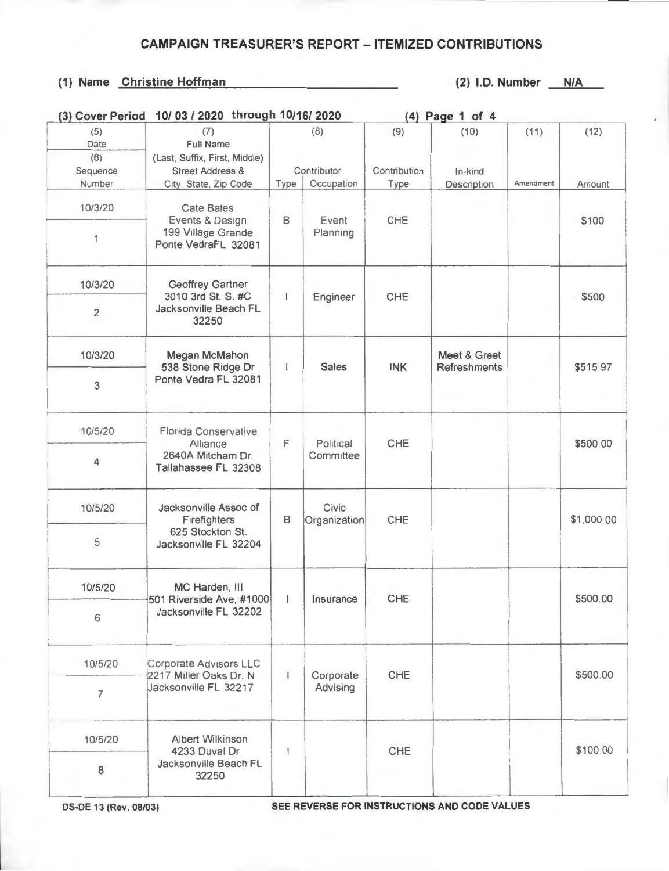# (1) Name Christine Hoffman (2) I.D. Number N/A

| (3) Cover Period               | 10/03 / 2020 through 10/16/2020                                                      |                    |                       |                     | (4) Page 1 of 4                     |           |            |
|--------------------------------|--------------------------------------------------------------------------------------|--------------------|-----------------------|---------------------|-------------------------------------|-----------|------------|
| (5)<br>Date<br>(6)<br>Sequence | (7)<br>Full Name<br>(Last, Suffix, First, Middle)<br><b>Street Address &amp;</b>     | (8)<br>Contributor |                       | (9)<br>Contribution | (10)<br>In-kind                     | (11)      | (12)       |
| Number                         | City. State. Zip Code                                                                | Type               | Occupation            | Type                | Description                         | Amendment | Amount     |
| 10/3/20<br>1                   | <b>Cate Bates</b><br>Events & Design<br>199 Village Grande<br>Ponte VedraFL 32081    | $\mathsf B$        | Event<br>Planning     | CHE                 |                                     |           | \$100      |
| 10/3/20                        | <b>Geoffrey Gartner</b>                                                              |                    |                       |                     |                                     |           |            |
| $\overline{2}$                 | 3010 3rd St. S. #C<br>Jacksonville Beach FL<br>32250                                 | $\downarrow$       | Engineer              | CHE                 |                                     |           | \$500      |
| 10/3/20                        | Megan McMahon<br>538 Stone Ridge Dr<br>Ponte Vedra FL 32081                          | I                  | <b>Sales</b>          | <b>INK</b>          | Meet & Greet<br><b>Refreshments</b> |           | \$515.97   |
| 3                              |                                                                                      |                    |                       |                     |                                     |           |            |
| 10/5/20                        | <b>Florida Conservative</b><br>Alliance<br>2640A Mitcham Dr.<br>Tallahassee FL 32308 | F                  | Political             | CHE                 |                                     |           | \$500.00   |
| 4                              |                                                                                      |                    | Committee             |                     |                                     |           |            |
| 10/5/20                        | Jacksonville Assoc of<br>Firefighters                                                | B                  | Civic<br>Organization | CHE                 |                                     |           | \$1,000.00 |
| 5                              | 625 Stockton St.<br>Jacksonville FL 32204                                            |                    |                       |                     |                                     |           |            |
| 10/5/20                        | MC Harden, III<br>501 Riverside Ave, #1000                                           |                    | Insurance             | CHE                 |                                     |           | \$500.00   |
| 6                              | Jacksonville FL 32202                                                                |                    |                       |                     |                                     |           |            |
| 10/5/20                        | Corporate Advisors LLC<br>2217 Miller Oaks Dr. N<br>Jacksonville FL 32217            | $\mathbf{I}$       | Corporate             | CHE                 |                                     |           | \$500.00   |
| $\overline{7}$                 |                                                                                      |                    | Advising              |                     |                                     |           |            |
| 10/5/20                        | Albert Wilkinson<br>4233 Duval Dr<br>Jacksonville Beach FL<br>32250                  | ł                  |                       | CHE                 |                                     |           | \$100.00   |
| 8                              |                                                                                      |                    |                       |                     |                                     |           |            |

**DS-DE 13 (Rev. 08/03) SEE REVERSE FOR INSTRUCTIONS AND CODE VALUES**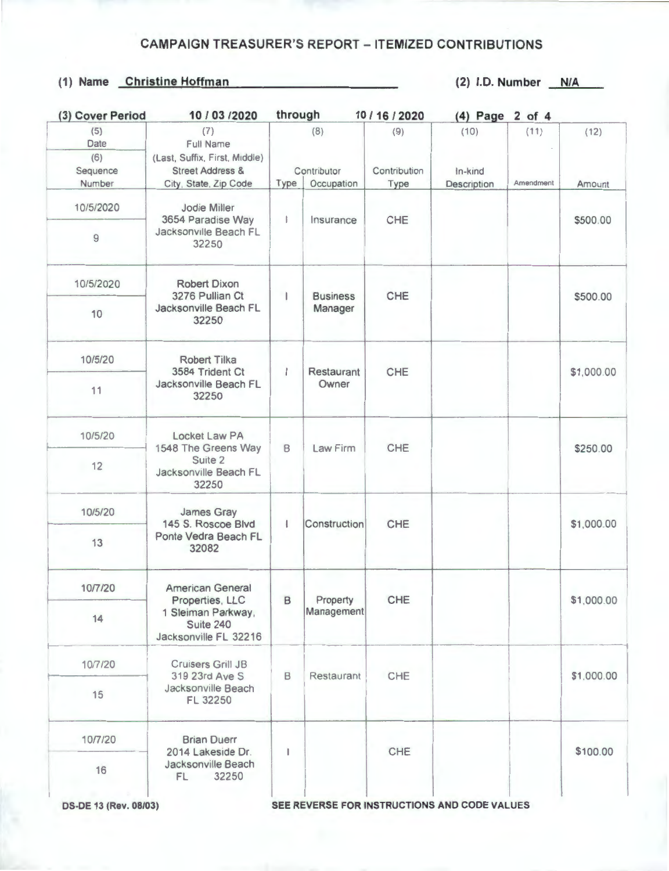# (1) Name Christine Hoffman (2) 1.0. Number **N/A**

| (3) Cover Period               | 10 / 03 / 2020                                                                    | through                      |                 | 10 / 16 / 2020      | (4) Page 2 of 4 |            |            |  |
|--------------------------------|-----------------------------------------------------------------------------------|------------------------------|-----------------|---------------------|-----------------|------------|------------|--|
| (5)<br>Date<br>(6)<br>Sequence | (7)<br>Full Name<br>(Last, Suffix, First, Middle)<br><b>Street Address &amp;</b>  | (8)<br>Contributor           |                 | (9)<br>Contribution | (10)<br>In-kind | (11)       | (12)       |  |
| Number                         | City, State, Zip Code                                                             | Type                         | Occupation      | Type                | Description     | Amendment  | Amount     |  |
| 10/5/2020                      | Jodie Miller<br>3654 Paradise Way<br>Jacksonville Beach FL                        | ł.                           | Insurance       | CHE                 |                 |            | \$500.00   |  |
| 9                              | 32250                                                                             |                              |                 |                     |                 |            |            |  |
| 10/5/2020                      | <b>Robert Dixon</b><br>3276 Pullian Ct                                            | ı                            | <b>Business</b> | CHE                 |                 |            | \$500.00   |  |
| 10                             | Jacksonville Beach FL<br>32250                                                    |                              | Manager         |                     |                 |            |            |  |
| 10/5/20                        | <b>Robert Tilka</b><br>3584 Trident Ct                                            | $\mathbf{I}$                 | Restaurant      | CHE                 |                 |            | \$1,000.00 |  |
| 11                             | Jacksonville Beach FL<br>32250                                                    |                              | Owner           |                     |                 |            |            |  |
| 10/5/20                        | Locket Law PA<br>1548 The Greens Way<br>Suite 2<br>Jacksonville Beach FL<br>32250 | B                            | Law Firm        | CHE                 |                 |            | \$250.00   |  |
| 12                             |                                                                                   |                              |                 |                     |                 |            |            |  |
| 10/5/20                        | James Gray<br>145 S. Roscoe Blvd                                                  | $\mathbf{I}$<br>Construction | CHE             |                     |                 | \$1,000.00 |            |  |
| 13                             | Ponte Vedra Beach FL<br>32082                                                     |                              |                 |                     |                 |            |            |  |
| 10/7/20                        | <b>American General</b><br>Properties, LLC                                        | B                            | Property        | CHE                 |                 |            | \$1,000.00 |  |
| 14                             | 1 Sleiman Parkway,<br>Suite 240<br>Jacksonville FL 32216                          |                              | Management      |                     |                 |            |            |  |
| 10/7/20                        | Cruisers Grill JB<br>319 23rd Ave S                                               | B                            | Restaurant      | CHE                 |                 |            | \$1,000.00 |  |
| 15                             | Jacksonville Beach<br>FL 32250                                                    |                              |                 |                     |                 |            |            |  |
| 10/7/20                        | <b>Brian Duerr</b><br>2014 Lakeside Dr.<br>Jacksonville Beach<br>32250<br>FL.     |                              |                 | CHE                 |                 |            | \$100.00   |  |
| 16                             |                                                                                   | ı                            |                 |                     |                 |            |            |  |

**OS-DE 13 (Rev. 08/03) SEE REVERSE FOR INSTRUCTIONS AND CODE VALUES**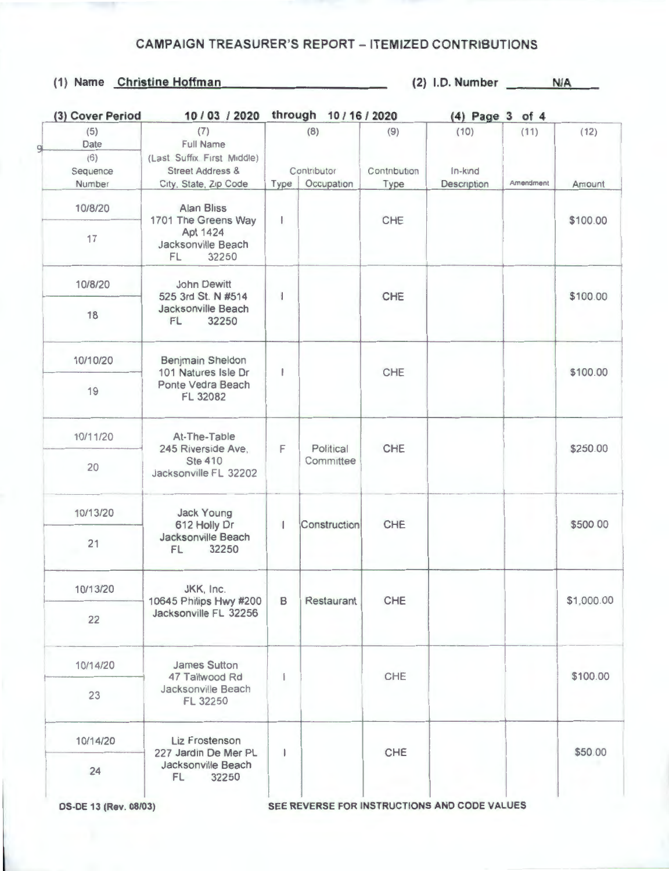### **(1) Name Christine Hoffman (2) I.D. Number N/A**

| (3) Cover Period               | 10 / 03 / 2020                                                                       |              | through 10/16/2020        |                      |                 | (4) Page 3 of 4 |            |
|--------------------------------|--------------------------------------------------------------------------------------|--------------|---------------------------|----------------------|-----------------|-----------------|------------|
| (5)<br>Date<br>(6)<br>Sequence | (7)<br><b>Full Name</b><br>(Last Suffix First Middle)<br><b>Street Address &amp;</b> |              | (8)<br>(9)<br>Contributor |                      | (10)<br>In-kind | (11)            | (12)       |
| Number                         | City, State, Zip Code                                                                | Type         | Occupation                | Contribution<br>Type | Description     | Amendment       | Amount     |
| 10/8/20<br>17                  | Alan Bliss<br>1701 The Greens Way<br>Apt 1424<br>Jacksonville Beach<br>32250<br>FL   | ı            |                           | CHE                  |                 |                 | \$100.00   |
| 10/8/20                        | John Dewitt                                                                          |              |                           |                      |                 |                 |            |
| 18                             | 525 3rd St. N #514<br>Jacksonville Beach<br>32250<br>FL                              | ł            |                           | CHE                  |                 |                 | \$100.00   |
| 10/10/20                       | Benjmain Sheldon<br>101 Natures Isle Dr                                              | ı            |                           | CHE                  |                 |                 | \$100.00   |
| 19                             | Ponte Vedra Beach<br>FL 32082                                                        |              |                           |                      |                 |                 |            |
| 10/11/20                       | At-The-Table<br>245 Riverside Ave.<br><b>Ste 410</b><br>Jacksonville FL 32202        | F            | Political                 | CHE                  |                 |                 | \$250.00   |
| 20                             |                                                                                      |              | Committee                 |                      |                 |                 |            |
| 10/13/20                       | Jack Young<br>612 Holly Dr                                                           | 1            | Construction              | CHE                  |                 |                 | \$500 00   |
| 21                             | Jacksonville Beach<br>32250<br>FL                                                    |              |                           |                      |                 |                 |            |
| 10/13/20                       | JKK, Inc.<br>10645 Philips Hwy #200                                                  |              | <b>B</b> Restaurant       | CHE                  |                 |                 | \$1,000.00 |
| 22                             | Jacksonville FL 32256                                                                |              |                           |                      |                 |                 |            |
| 10/14/20                       | <b>James Sutton</b><br>47 Tallwood Rd                                                |              |                           | CHE                  |                 |                 | \$100.00   |
| 23                             | Jacksonville Beach<br>FL 32250                                                       |              |                           |                      |                 |                 |            |
| 10/14/20                       | Liz Frostenson<br>227 Jardin De Mer PL<br>Jacksonville Beach<br>FL.<br>32250         | $\mathbf{I}$ |                           | CHE                  |                 |                 | \$50.00    |
| 24                             |                                                                                      |              |                           |                      |                 |                 |            |

OS-DE 13 (Rev. 08/03) SEE REVERSE FOR INSTRUCTIONS AND CODE VALUES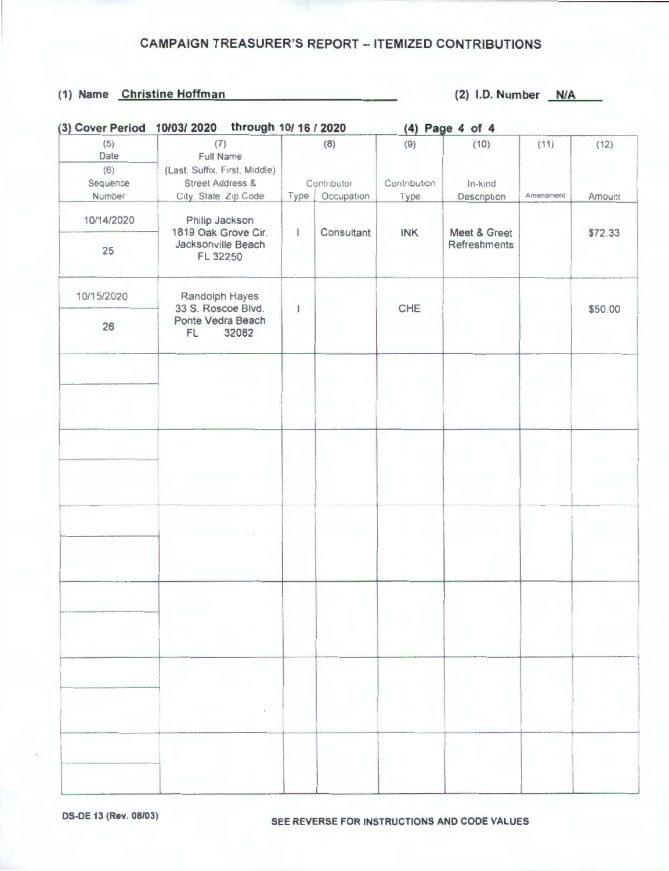#### (1) Name Christine Hoffman (2) I.D. Number N/A

| (3) Cover Period 10/03/ 2020 | through 10/ 16 / 2020                   |              |             | (4) Page 4 of 4 |              |           |         |
|------------------------------|-----------------------------------------|--------------|-------------|-----------------|--------------|-----------|---------|
| (5)<br>Date                  | (7)<br>Full Name                        | (8)          |             | (9)             | (10)         | (11)      | (12)    |
| (6)                          | (Last, Suffix, First, Middle)           |              |             |                 |              |           |         |
| Sequence                     | <b>Street Address &amp;</b>             |              | Contributor | Contribution    | In-kind      |           |         |
| Number                       | City, State Zip Code                    | Type         | Occupation  | Type            | Description  | Amendment | Amount  |
| 10/14/2020                   | Philip Jackson<br>1819 Oak Grove Cir.   | $\mathbf{I}$ | Consultant  | INK             | Meet & Greet |           | \$72.33 |
| 25                           | Jacksonville Beach<br>FL 32250          |              |             | Refreshments    |              |           |         |
| 10/15/2020                   | Randolph Hayes<br>33 S. Roscoe Blvd.    | 1            |             | CHE             |              |           | \$50.00 |
| 26                           | Ponte Vedra Beach<br><b>FL</b><br>32082 |              |             |                 |              |           |         |
|                              |                                         |              |             |                 |              |           |         |
|                              |                                         |              |             |                 |              |           |         |
|                              |                                         |              |             |                 |              |           |         |
|                              |                                         |              |             |                 |              |           |         |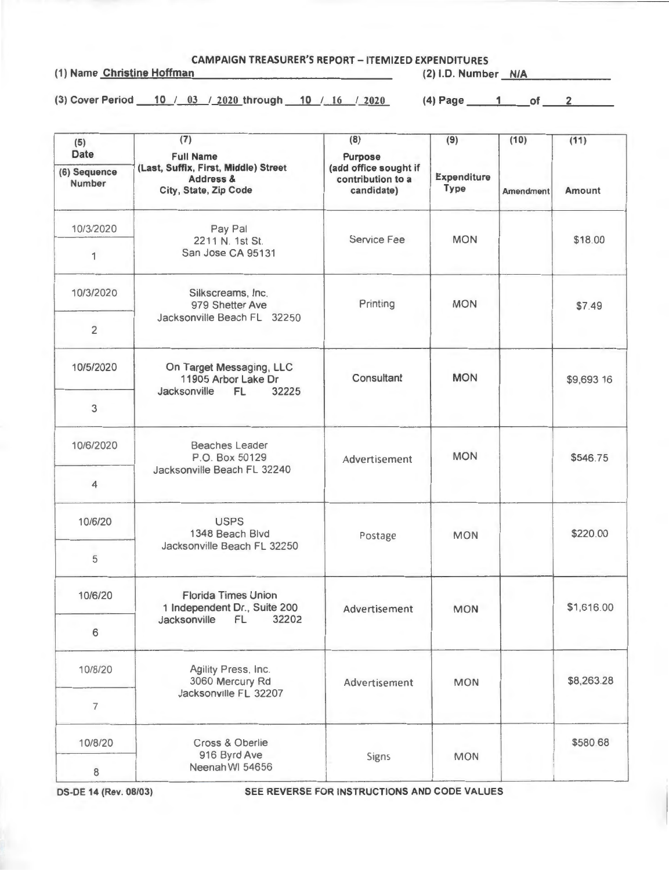**CAMPAIGN TREASURER'S REPORT - ITEMIZED EXPENDITURES**<br>(1) Name Christine Hoffman (2) (2) (1.D. Number

(2) I.D. Number **N/A** 

(3) Cover Period 10 / 03 / 2020 through 10 / 16 / 2020 (4) Page 1 of 2

| (5)<br><b>Date</b>            | (7)<br><b>Full Name</b>                                                               | (8)<br><b>Purpose</b>                                    | (9)                               | (10)<br><b>Amendment</b> | (11)          |
|-------------------------------|---------------------------------------------------------------------------------------|----------------------------------------------------------|-----------------------------------|--------------------------|---------------|
| (6) Sequence<br><b>Number</b> | (Last, Suffix, First, Middle) Street<br><b>Address &amp;</b><br>City, State, Zip Code | (add office sought if<br>contribution to a<br>candidate) | <b>Expenditure</b><br><b>Type</b> |                          | <b>Amount</b> |
| 10/3/2020                     | Pay Pal<br>2211 N. 1st St.                                                            | Service Fee                                              | <b>MON</b>                        |                          | \$18.00       |
| 1                             | San Jose CA 95131                                                                     |                                                          |                                   |                          |               |
| 10/3/2020                     | Silkscreams, Inc.<br>979 Shetter Ave<br>Jacksonville Beach FL 32250                   | Printing                                                 | <b>MON</b>                        |                          | \$7.49        |
| $\overline{2}$                |                                                                                       |                                                          |                                   |                          |               |
| 10/5/2020                     | On Target Messaging, LLC<br>11905 Arbor Lake Dr                                       | Consultant                                               | <b>MON</b>                        |                          | \$9,693 16    |
| 3                             | Jacksonville FL<br>32225                                                              |                                                          |                                   |                          |               |
| 10/6/2020                     | <b>Beaches Leader</b><br>P.O. Box 50129                                               | Advertisement                                            | <b>MON</b>                        |                          | \$546.75      |
| 4                             | Jacksonville Beach FL 32240                                                           |                                                          |                                   |                          |               |
| 10/6/20                       | <b>USPS</b><br>1348 Beach Blvd                                                        | Postage                                                  | <b>MON</b>                        |                          | \$220.00      |
| 5                             | Jacksonville Beach FL 32250                                                           |                                                          |                                   |                          |               |
| 10/6/20                       | <b>Florida Times Union</b><br>1 Independent Dr., Suite 200                            |                                                          | <b>MON</b>                        |                          | \$1,616.00    |
| 6                             | Jacksonville FL 32202                                                                 |                                                          |                                   |                          |               |
| 10/8/20                       | Agility Press, Inc.<br>3060 Mercury Rd                                                | Advertisement<br>Advertisement<br><b>MON</b>             | \$8,263.28                        |                          |               |
| $\overline{7}$                | Jacksonville FL 32207                                                                 |                                                          |                                   |                          |               |
| 10/8/20                       | Cross & Oberlie                                                                       |                                                          |                                   |                          | \$580.68      |
| 8                             | 916 Byrd Ave<br>Neenah WI 54656                                                       | Signs                                                    | <b>MON</b>                        |                          |               |

**OS-DE 14 (Rev. 08/03)** SEE REVERSE FOR INSTRUCTIONS AND CODE VALUES